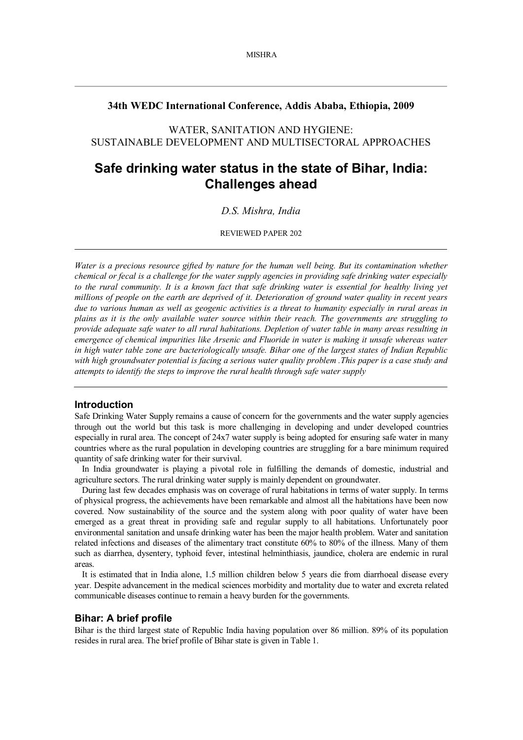# **34th WEDC International Conference, Addis Ababa, Ethiopia, 2009**

WATER, SANITATION AND HYGIENE: SUSTAINABLE DEVELOPMENT AND MULTISECTORAL APPROACHES

# **Safe drinking water status in the state of Bihar, India: Challenges ahead**

# *D.S. Mishra, India*

REVIEWED PAPER 202

*Water is a precious resource gifted by nature for the human well being. But its contamination whether chemical or fecal is a challenge for the water supply agencies in providing safe drinking water especially* to the rural community. It is a known fact that safe drinking water is essential for healthy living yet *millions of people on the earth are deprived of it. Deterioration of ground water quality in recent years due to various human as well as geogenic activities is a threat to humanity especially in rural areas in plains as it is the only available water source within their reach. The governments are struggling to provide adequate safe water to all rural habitations. Depletion of water table in many areas resulting in emergence of chemical impurities like Arsenic and Fluoride in water is making it unsafe whereas water in high water table zone are bacteriologically unsafe. Bihar one of the largest states of Indian Republic with high groundwater potential is facing a serious water quality problem .This paper is a case study and attempts to identify the steps to improve the rural health through safe water supply*

### **Introduction**

Safe Drinking Water Supply remains a cause of concern for the governments and the water supply agencies through out the world but this task is more challenging in developing and under developed countries especially in rural area. The concept of 24x7 water supply is being adopted for ensuring safe water in many countries where as the rural population in developing countries are struggling for a bare minimum required quantity of safe drinking water for their survival.

In India groundwater is playing a pivotal role in fulfilling the demands of domestic, industrial and agriculture sectors. The rural drinking water supply is mainly dependent on groundwater.

During last few decades emphasis was on coverage of rural habitations in terms of water supply. In terms of physical progress, the achievements have been remarkable and almost all the habitations have been now covered. Now sustainability of the source and the system along with poor quality of water have been emerged as a great threat in providing safe and regular supply to all habitations. Unfortunately poor environmental sanitation and unsafe drinking water has been the major health problem. Water and sanitation related infections and diseases of the alimentary tract constitute 60% to 80% of the illness. Many of them such as diarrhea, dysentery, typhoid fever, intestinal helminthiasis, jaundice, cholera are endemic in rural areas.

It is estimated that in India alone, 1.5 million children below 5 years die from diarrhoeal disease every year. Despite advancement in the medical sciences morbidity and mortality due to water and excreta related communicable diseases continue to remain a heavy burden for the governments.

### **Bihar: A brief profile**

Bihar is the third largest state of Republic India having population over 86 million. 89% of its population resides in rural area. The brief profile of Bihar state is given in Table 1.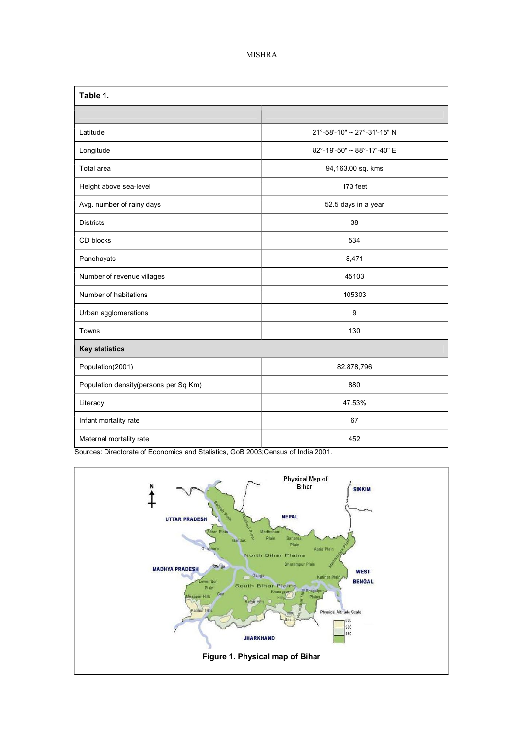# MISHRA

| Table 1.                              |                             |
|---------------------------------------|-----------------------------|
|                                       |                             |
| Latitude                              | 21°-58'-10" ~ 27°-31'-15" N |
| Longitude                             | 82°-19'-50" ~ 88°-17'-40" E |
| Total area                            | 94,163.00 sq. kms           |
| Height above sea-level                | 173 feet                    |
| Avg. number of rainy days             | 52.5 days in a year         |
| <b>Districts</b>                      | 38                          |
| CD blocks                             | 534                         |
| Panchayats                            | 8,471                       |
| Number of revenue villages            | 45103                       |
| Number of habitations                 | 105303                      |
| Urban agglomerations                  | 9                           |
| Towns                                 | 130                         |
| <b>Key statistics</b>                 |                             |
| Population(2001)                      | 82,878,796                  |
| Population density(persons per Sq Km) | 880                         |
| Literacy                              | 47.53%                      |
| Infant mortality rate                 | 67                          |
| Maternal mortality rate               | 452                         |

Sources: Directorate of Economics and Statistics, GoB 2003;Census of India 2001.

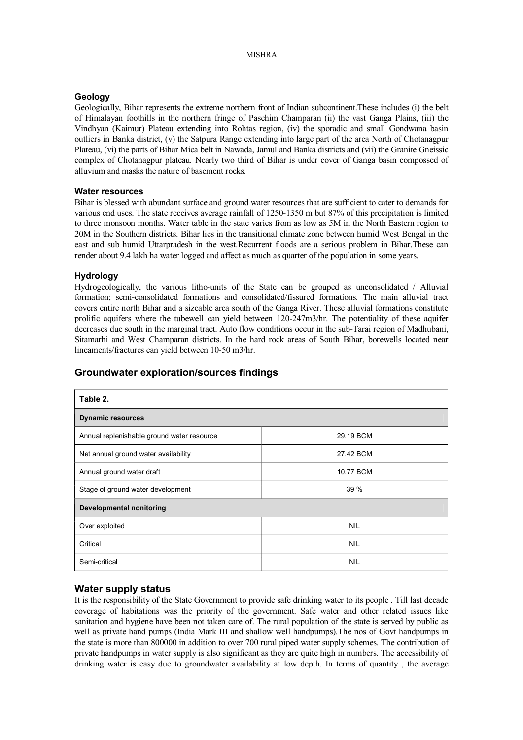### **Geology**

Geologically, Bihar represents the extreme northern front of Indian subcontinent.These includes (i) the belt of Himalayan foothills in the northern fringe of Paschim Champaran (ii) the vast Ganga Plains, (iii) the Vindhyan (Kaimur) Plateau extending into Rohtas region, (iv) the sporadic and small Gondwana basin outliers in Banka district, (v) the Satpura Range extending into large part of the area North of Chotanagpur Plateau, (vi) the parts of Bihar Mica belt in Nawada, Jamul and Banka districts and (vii) the Granite Gneissic complex of Chotanagpur plateau. Nearly two third of Bihar is under cover of Ganga basin compossed of alluvium and masks the nature of basement rocks.

### **Water resources**

Bihar is blessed with abundant surface and ground water resources that are sufficient to cater to demands for various end uses. The state receives average rainfall of 1250-1350 m but 87% of this precipitation is limited to three monsoon months. Water table in the state varies from as low as 5M in the North Eastern region to 20M in the Southern districts. Bihar lies in the transitional climate zone between humid West Bengal in the east and sub humid Uttarpradesh in the west.Recurrent floods are a serious problem in Bihar.These can render about 9.4 lakh ha water logged and affect as much as quarter of the population in some years.

### **Hydrology**

Hydrogeologically, the various litho-units of the State can be grouped as unconsolidated / Alluvial formation; semi-consolidated formations and consolidated/fissured formations. The main alluvial tract covers entire north Bihar and a sizeable area south of the Ganga River. These alluvial formations constitute prolific aquifers where the tubewell can yield between 120247m3/hr. The potentiality of these aquifer decreases due south in the marginal tract. Auto flow conditions occur in the sub-Tarai region of Madhubani, Sitamarhi and West Champaran districts. In the hard rock areas of South Bihar, borewells located near lineaments/fractures can yield between 10-50 m3/hr.

| Table 2.                                   |            |  |
|--------------------------------------------|------------|--|
| <b>Dynamic resources</b>                   |            |  |
| Annual replenishable ground water resource | 29.19 BCM  |  |
| Net annual ground water availability       | 27.42 BCM  |  |
| Annual ground water draft                  | 10.77 BCM  |  |
| Stage of ground water development          | 39 %       |  |
| <b>Developmental nonitoring</b>            |            |  |
| Over exploited                             | <b>NIL</b> |  |
| Critical                                   | <b>NIL</b> |  |
| Semi-critical                              | <b>NIL</b> |  |

# **Groundwater exploration/sources findings**

### **Water supply status**

It is the responsibility of the State Government to provide safe drinking water to its people . Till last decade coverage of habitations was the priority of the government. Safe water and other related issues like sanitation and hygiene have been not taken care of. The rural population of the state is served by public as well as private hand pumps (India Mark III and shallow well handpumps).The nos of Govt handpumps in the state is more than 800000 in addition to over 700 rural piped water supply schemes. The contribution of private handpumps in water supply is also significant as they are quite high in numbers. The accessibility of drinking water is easy due to groundwater availability at low depth. In terms of quantity , the average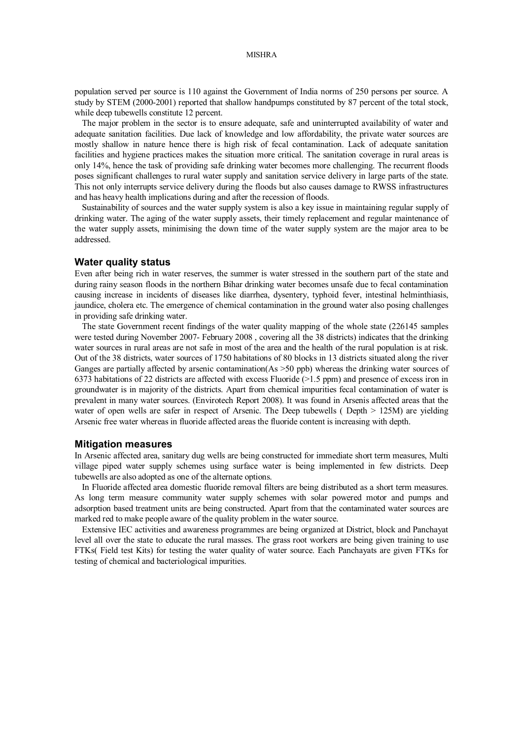### MISHRA

population served per source is 110 against the Government of India norms of 250 persons per source. A study by STEM (2000-2001) reported that shallow handpumps constituted by 87 percent of the total stock. while deep tubewells constitute 12 percent.

The major problem in the sector is to ensure adequate, safe and uninterrupted availability of water and adequate sanitation facilities. Due lack of knowledge and low affordability, the private water sources are mostly shallow in nature hence there is high risk of fecal contamination. Lack of adequate sanitation facilities and hygiene practices makes the situation more critical. The sanitation coverage in rural areas is only 14%, hence the task of providing safe drinking water becomes more challenging. The recurrent floods poses significant challenges to rural water supply and sanitation service delivery in large parts of the state. This not only interrupts service delivery during the floods but also causes damage to RWSS infrastructures and has heavy health implications during and after the recession of floods.

Sustainability of sources and the water supply system is also a key issue in maintaining regular supply of drinking water. The aging of the water supply assets, their timely replacement and regular maintenance of the water supply assets, minimising the down time of the water supply system are the major area to be addressed.

### **Water quality status**

Even after being rich in water reserves, the summer is water stressed in the southern part of the state and during rainy season floods in the northern Bihar drinking water becomes unsafe due to fecal contamination causing increase in incidents of diseases like diarrhea, dysentery, typhoid fever, intestinal helminthiasis, jaundice, cholera etc. The emergence of chemical contamination in the ground water also posing challenges in providing safe drinking water.

The state Government recent findings of the water quality mapping of the whole state (226145 samples were tested during November 2007- February 2008, covering all the 38 districts) indicates that the drinking water sources in rural areas are not safe in most of the area and the health of the rural population is at risk. Out of the 38 districts, water sources of 1750 habitations of 80 blocks in 13 districts situated along the river Ganges are partially affected by arsenic contamination(As >50 ppb) whereas the drinking water sources of 6373 habitations of 22 districts are affected with excess Fluoride (>1.5 ppm) and presence of excess iron in groundwater is in majority of the districts. Apart from chemical impurities fecal contamination of water is prevalent in many water sources. (Envirotech Report 2008). It was found in Arsenis affected areas that the water of open wells are safer in respect of Arsenic. The Deep tubewells (Depth  $> 125M$ ) are yielding Arsenic free water whereas in fluoride affected areas the fluoride content is increasing with depth.

### **Mitigation measures**

In Arsenic affected area, sanitary dug wells are being constructed for immediate short term measures, Multi village piped water supply schemes using surface water is being implemented in few districts. Deep tubewells are also adopted as one of the alternate options.

In Fluoride affected area domestic fluoride removal filters are being distributed as a short term measures. As long term measure community water supply schemes with solar powered motor and pumps and adsorption based treatment units are being constructed. Apart from that the contaminated water sources are marked red to make people aware of the quality problem in the water source.

Extensive IEC activities and awareness programmes are being organized at District, block and Panchayat level all over the state to educate the rural masses. The grass root workers are being given training to use FTKs( Field test Kits) for testing the water quality of water source. Each Panchayats are given FTKs for testing of chemical and bacteriological impurities.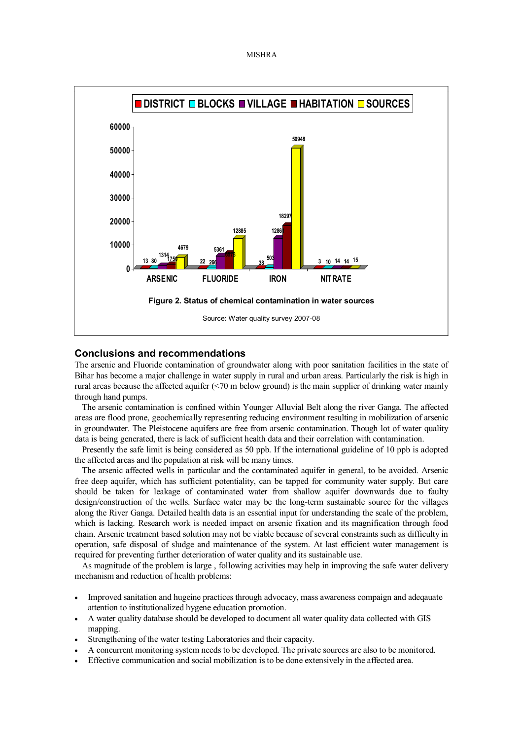



# **Conclusions and recommendations**

The arsenic and Fluoride contamination of groundwater along with poor sanitation facilities in the state of Bihar has become a major challenge in water supply in rural and urban areas. Particularly the risk is high in rural areas because the affected aquifer (<70 m below ground) is the main supplier of drinking water mainly through hand pumps.

The arsenic contamination is confined within Younger Alluvial Belt along the river Ganga. The affected areas are flood prone, geochemically representing reducing environment resulting in mobilization of arsenic in groundwater. The Pleistocene aquifers are free from arsenic contamination. Though lot of water quality data is being generated, there is lack of sufficient health data and their correlation with contamination.

Presently the safe limit is being considered as 50 ppb. If the international guideline of 10 ppb is adopted the affected areas and the population at risk will be many times.

The arsenic affected wells in particular and the contaminated aquifer in general, to be avoided. Arsenic free deep aquifer, which has sufficient potentiality, can be tapped for community water supply. But care should be taken for leakage of contaminated water from shallow aquifer downwards due to faulty design/construction of the wells. Surface water may be the long-term sustainable source for the villages along the River Ganga. Detailed health data is an essential input for understanding the scale of the problem, which is lacking. Research work is needed impact on arsenic fixation and its magnification through food chain. Arsenic treatment based solution may not be viable because of several constraints such as difficulty in operation, safe disposal of sludge and maintenance of the system. At last efficient water management is required for preventing further deterioration of water quality and its sustainable use.

As magnitude of the problem is large , following activities may help in improving the safe water delivery mechanism and reduction of health problems:

- Improved sanitation and hugeine practices through advocacy, mass awareness compaign and adeqauate attention to institutionalized hygene education promotion.
- · A water quality database should be developed to document all water quality data collected with GIS mapping.
- Strengthening of the water testing Laboratories and their capacity.
- · A concurrent monitoring system needs to be developed. The private sources are also to be monitored.
- Effective communication and social mobilization is to be done extensively in the affected area.